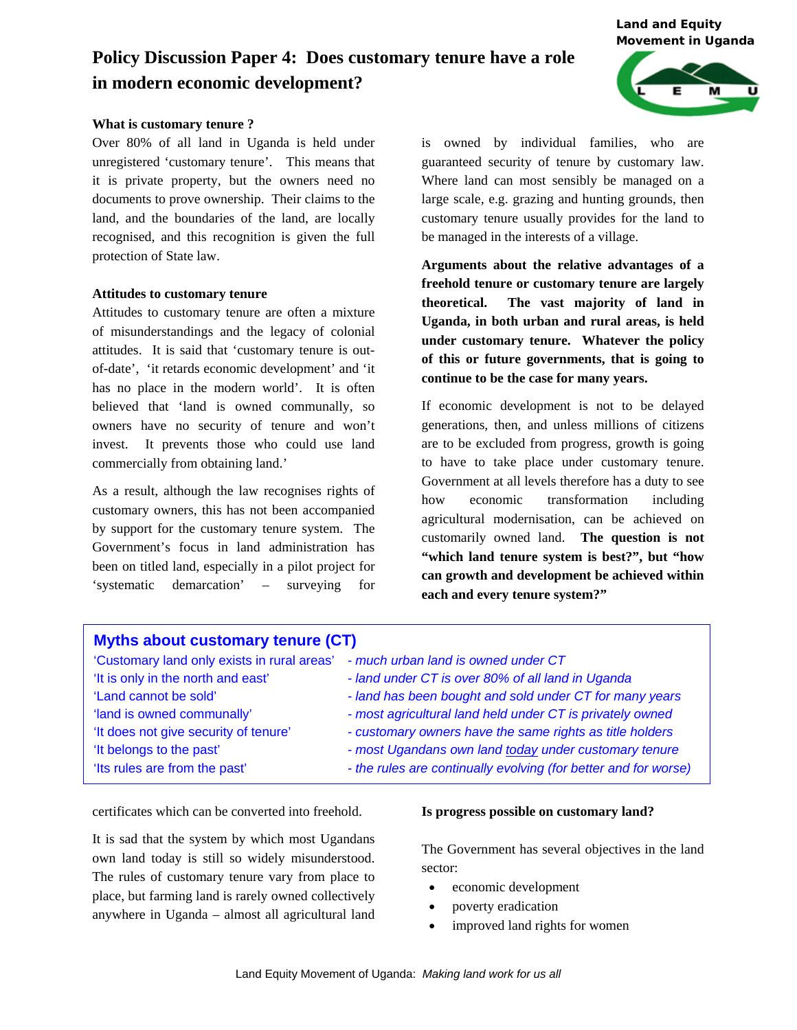# **Policy Discussion Paper 4: Does customary tenure have a role in modern economic development?**

### **What is customary tenure ?**

Over 80% of all land in Uganda is held under unregistered 'customary tenure'. This means that it is private property, but the owners need no documents to prove ownership. Their claims to the land, and the boundaries of the land, are locally recognised, and this recognition is given the full protection of State law.

#### **Attitudes to customary tenure**

Attitudes to customary tenure are often a mixture of misunderstandings and the legacy of colonial attitudes. It is said that 'customary tenure is outof-date', 'it retards economic development' and 'it has no place in the modern world'. It is often believed that 'land is owned communally, so owners have no security of tenure and won't invest. It prevents those who could use land commercially from obtaining land.'

As a result, although the law recognises rights of customary owners, this has not been accompanied by support for the customary tenure system. The Government's focus in land administration has been on titled land, especially in a pilot project for 'systematic demarcation' – surveying for

is owned by individual families, who are guaranteed security of tenure by customary law. Where land can most sensibly be managed on a large scale, e.g. grazing and hunting grounds, then customary tenure usually provides for the land to be managed in the interests of a village.

**Arguments about the relative advantages of a freehold tenure or customary tenure are largely theoretical. The vast majority of land in Uganda, in both urban and rural areas, is held under customary tenure. Whatever the policy of this or future governments, that is going to continue to be the case for many years.** 

If economic development is not to be delayed generations, then, and unless millions of citizens are to be excluded from progress, growth is going to have to take place under customary tenure. Government at all levels therefore has a duty to see how economic transformation including agricultural modernisation, can be achieved on customarily owned land. **The question is not "which land tenure system is best?", but "how can growth and development be achieved within each and every tenure system?"** 

| <b>Myths about customary tenure (CT)</b>    |                                                                 |
|---------------------------------------------|-----------------------------------------------------------------|
| 'Customary land only exists in rural areas' | - much urban land is owned under CT                             |
| 'It is only in the north and east'          | - land under CT is over 80% of all land in Uganda               |
| 'Land cannot be sold'                       | - land has been bought and sold under CT for many years         |
| 'land is owned communally'                  | - most agricultural land held under CT is privately owned       |
| 'It does not give security of tenure'       | - customary owners have the same rights as title holders        |
| 'It belongs to the past'                    | - most Ugandans own land today under customary tenure           |
| 'Its rules are from the past'               | - the rules are continually evolving (for better and for worse) |

certificates which can be converted into freehold.

It is sad that the system by which most Ugandans own land today is still so widely misunderstood. The rules of customary tenure vary from place to place, but farming land is rarely owned collectively anywhere in Uganda – almost all agricultural land

# **Is progress possible on customary land?**

The Government has several objectives in the land sector:

- economic development
- poverty eradication
- improved land rights for women



*Land and Equity* 

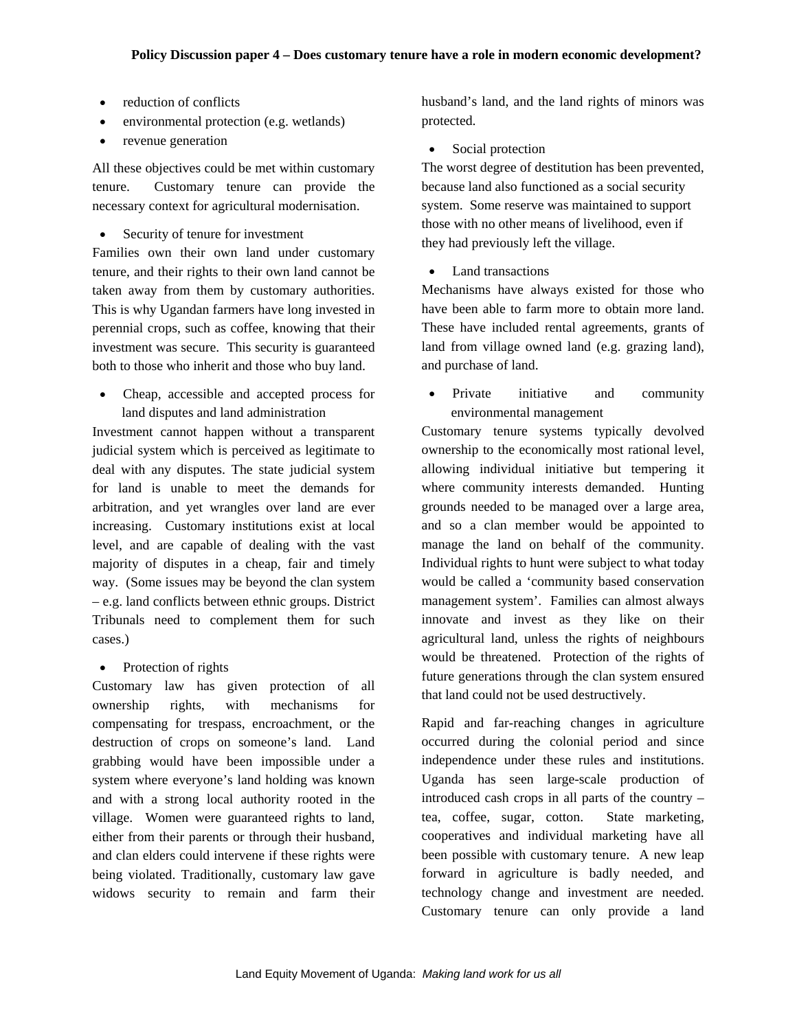- reduction of conflicts
- environmental protection (e.g. wetlands)
- revenue generation

All these objectives could be met within customary tenure. Customary tenure can provide the necessary context for agricultural modernisation.

• Security of tenure for investment

Families own their own land under customary tenure, and their rights to their own land cannot be taken away from them by customary authorities. This is why Ugandan farmers have long invested in perennial crops, such as coffee, knowing that their investment was secure. This security is guaranteed both to those who inherit and those who buy land.

• Cheap, accessible and accepted process for land disputes and land administration

Investment cannot happen without a transparent judicial system which is perceived as legitimate to deal with any disputes. The state judicial system for land is unable to meet the demands for arbitration, and yet wrangles over land are ever increasing. Customary institutions exist at local level, and are capable of dealing with the vast majority of disputes in a cheap, fair and timely way. (Some issues may be beyond the clan system – e.g. land conflicts between ethnic groups. District Tribunals need to complement them for such cases.)

• Protection of rights

Customary law has given protection of all ownership rights, with mechanisms for compensating for trespass, encroachment, or the destruction of crops on someone's land. Land grabbing would have been impossible under a system where everyone's land holding was known and with a strong local authority rooted in the village. Women were guaranteed rights to land, either from their parents or through their husband, and clan elders could intervene if these rights were being violated. Traditionally, customary law gave widows security to remain and farm their husband's land, and the land rights of minors was protected.

• Social protection

The worst degree of destitution has been prevented, because land also functioned as a social security system. Some reserve was maintained to support those with no other means of livelihood, even if they had previously left the village.

Land transactions

Mechanisms have always existed for those who have been able to farm more to obtain more land. These have included rental agreements, grants of land from village owned land (e.g. grazing land), and purchase of land.

Private initiative and community environmental management

Customary tenure systems typically devolved ownership to the economically most rational level, allowing individual initiative but tempering it where community interests demanded. Hunting grounds needed to be managed over a large area, and so a clan member would be appointed to manage the land on behalf of the community. Individual rights to hunt were subject to what today would be called a 'community based conservation management system'. Families can almost always innovate and invest as they like on their agricultural land, unless the rights of neighbours would be threatened. Protection of the rights of future generations through the clan system ensured that land could not be used destructively.

Rapid and far-reaching changes in agriculture occurred during the colonial period and since independence under these rules and institutions. Uganda has seen large-scale production of introduced cash crops in all parts of the country – tea, coffee, sugar, cotton. State marketing, cooperatives and individual marketing have all been possible with customary tenure. A new leap forward in agriculture is badly needed, and technology change and investment are needed. Customary tenure can only provide a land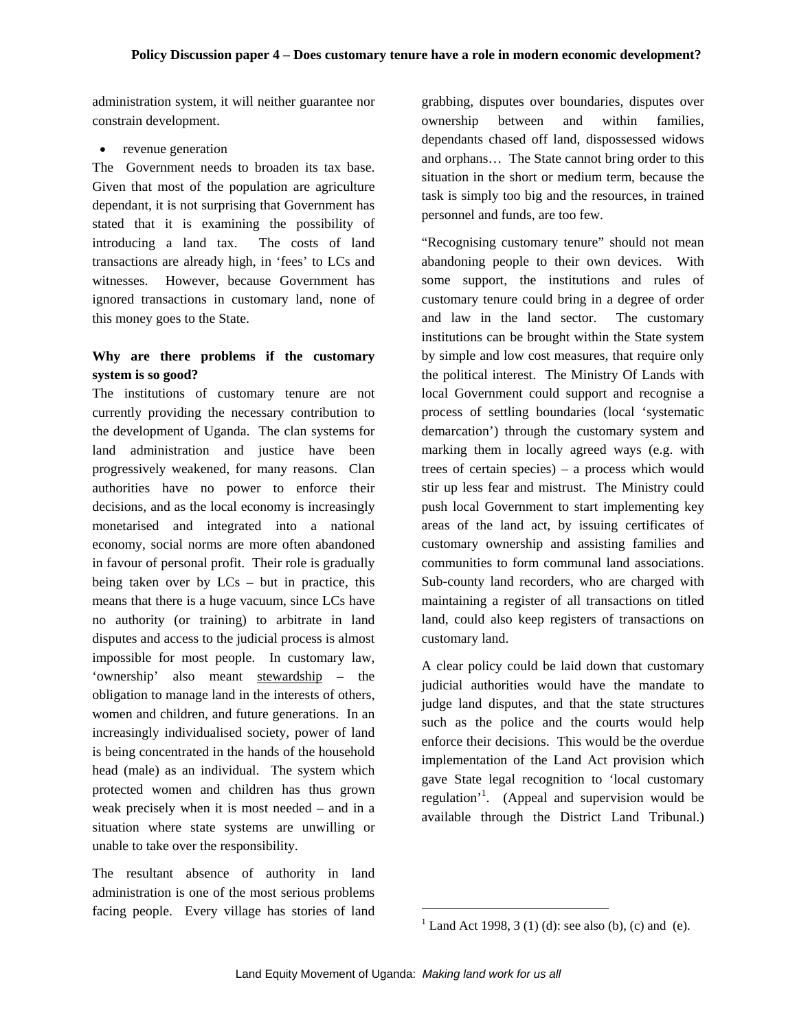administration system, it will neither guarantee nor constrain development.

• revenue generation

The Government needs to broaden its tax base. Given that most of the population are agriculture dependant, it is not surprising that Government has stated that it is examining the possibility of introducing a land tax. The costs of land transactions are already high, in 'fees' to LCs and witnesses. However, because Government has ignored transactions in customary land, none of this money goes to the State.

# **Why are there problems if the customary system is so good?**

The institutions of customary tenure are not currently providing the necessary contribution to the development of Uganda. The clan systems for land administration and justice have been progressively weakened, for many reasons. Clan authorities have no power to enforce their decisions, and as the local economy is increasingly monetarised and integrated into a national economy, social norms are more often abandoned in favour of personal profit. Their role is gradually being taken over by  $LCs$  – but in practice, this means that there is a huge vacuum, since LCs have no authority (or training) to arbitrate in land disputes and access to the judicial process is almost impossible for most people. In customary law, 'ownership' also meant stewardship – the obligation to manage land in the interests of others, women and children, and future generations. In an increasingly individualised society, power of land is being concentrated in the hands of the household head (male) as an individual. The system which protected women and children has thus grown weak precisely when it is most needed – and in a situation where state systems are unwilling or unable to take over the responsibility.

The resultant absence of authority in land administration is one of the most serious problems facing people. Every village has stories of land grabbing, disputes over boundaries, disputes over ownership between and within families, dependants chased off land, dispossessed widows and orphans… The State cannot bring order to this situation in the short or medium term, because the task is simply too big and the resources, in trained personnel and funds, are too few.

"Recognising customary tenure" should not mean abandoning people to their own devices. With some support, the institutions and rules of customary tenure could bring in a degree of order and law in the land sector. The customary institutions can be brought within the State system by simple and low cost measures, that require only the political interest. The Ministry Of Lands with local Government could support and recognise a process of settling boundaries (local 'systematic demarcation') through the customary system and marking them in locally agreed ways (e.g. with trees of certain species) – a process which would stir up less fear and mistrust. The Ministry could push local Government to start implementing key areas of the land act, by issuing certificates of customary ownership and assisting families and communities to form communal land associations. Sub-county land recorders, who are charged with maintaining a register of all transactions on titled land, could also keep registers of transactions on customary land.

A clear policy could be laid down that customary judicial authorities would have the mandate to judge land disputes, and that the state structures such as the police and the courts would help enforce their decisions. This would be the overdue implementation of the Land Act provision which gave State legal recognition to 'local customary regulation<sup>'1</sup>. (Appeal and supervision would be available through the District Land Tribunal.)

 $\overline{a}$ 

<sup>&</sup>lt;sup>1</sup> Land Act 1998, 3 (1) (d): see also (b), (c) and (e).